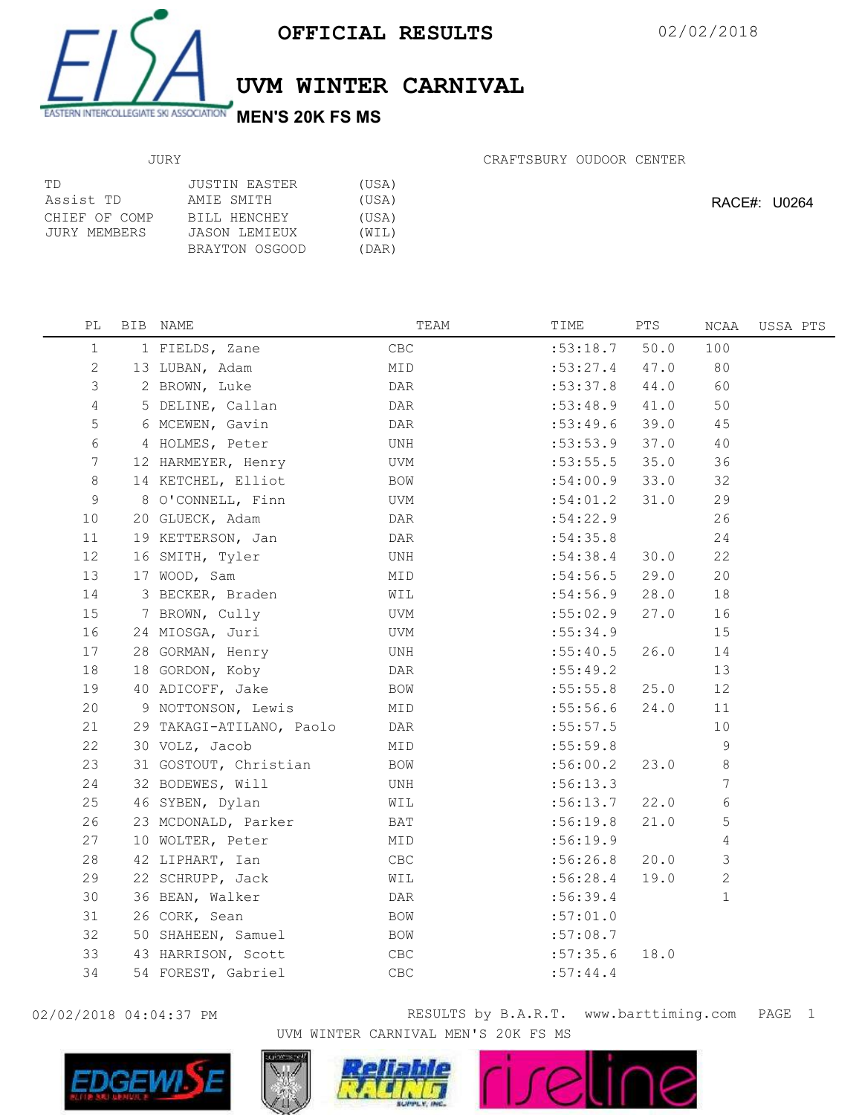

UVM WINTER CARNIVAL

JURY

CRAFTSBURY OUDOOR CENTER

| TD.                           | JUSTIN EASTER                 | (USA)          |
|-------------------------------|-------------------------------|----------------|
| Assist TD                     | AMIE SMITH                    | (USA)          |
| CHIEF OF COMP<br>JURY MEMBERS | BILL HENCHEY<br>JASON LEMIEUX | (USA)<br>(WIL) |
|                               | BRAYTON OSGOOD                | (DAR)          |

RACE#: U0264

| PL              | BIB NAME                 | TEAM           | TIME     | PTS  | NCAA         | USSA PTS |
|-----------------|--------------------------|----------------|----------|------|--------------|----------|
| $\mathbf{1}$    | 1 FIELDS, Zane           | CBC            | :53:18.7 | 50.0 | 100          |          |
| 2               | 13 LUBAN, Adam           | MID            | :53:27.4 | 47.0 | 80           |          |
| 3               | 2 BROWN, Luke            | DAR            | :53:37.8 | 44.0 | 60           |          |
| 4               | 5 DELINE, Callan         | DAR            | :53:48.9 | 41.0 | 50           |          |
| $\mathsf S$     | 6 MCEWEN, Gavin          | DAR            | :53:49.6 | 39.0 | 45           |          |
| 6               | 4 HOLMES, Peter          | UNH            | :53:53.9 | 37.0 | 40           |          |
| $7\phantom{.0}$ | 12 HARMEYER, Henry       | UVM            | :53:55.5 | 35.0 | 36           |          |
| 8               | 14 KETCHEL, Elliot       | BOW            | :54:00.9 | 33.0 | 32           |          |
| 9               | 8 O'CONNELL, Finn        | UVM            | :54:01.2 | 31.0 | 29           |          |
| 10              | 20 GLUECK, Adam          | DAR            | :54:22.9 |      | 26           |          |
| 11              | 19 KETTERSON, Jan        | DAR            | :54:35.8 |      | 24           |          |
| 12              | 16 SMITH, Tyler          | UNH            | :54:38.4 | 30.0 | 22           |          |
| 13              | 17 WOOD, Sam             | MID            | :54:56.5 | 29.0 | 20           |          |
| 14              | 3 BECKER, Braden         | WIL            | :54:56.9 | 28.0 | 18           |          |
| 15              | 7 BROWN, Cully           | UVM            | :55:02.9 | 27.0 | 16           |          |
| 16              | 24 MIOSGA, Juri          | UVM            | :55:34.9 |      | 15           |          |
| 17              | 28 GORMAN, Henry         | UNH            | :55:40.5 | 26.0 | 14           |          |
| 18              | 18 GORDON, Koby          | DAR            | :55:49.2 |      | 13           |          |
| 19              | 40 ADICOFF, Jake         | BOW            | :55:55.8 | 25.0 | 12           |          |
| 20              | 9 NOTTONSON, Lewis       | MID            | :55:56.6 | 24.0 | 11           |          |
| 21              | 29 TAKAGI-ATILANO, Paolo | DAR            | :55:57.5 |      | 10           |          |
| 22              | 30 VOLZ, Jacob           | MID            | :55:59.8 |      | $\mathsf 9$  |          |
| 23              | 31 GOSTOUT, Christian    | BOW            | :56:00.2 | 23.0 | 8            |          |
| 24              | 32 BODEWES, Will         | UNH            | :56:13.3 |      | 7            |          |
| 25              | 46 SYBEN, Dylan          | WIL            | :56:13.7 | 22.0 | 6            |          |
| 26              | 23 MCDONALD, Parker      | BAT            | :56:19.8 | 21.0 | 5            |          |
| 27              | 10 WOLTER, Peter         | MID            | :56:19.9 |      | 4            |          |
| 28              | 42 LIPHART, Ian          | CBC            | :56:26.8 | 20.0 | 3            |          |
| 29              | 22 SCHRUPP, Jack         | WIL            | :56:28.4 | 19.0 | $\mathbf{2}$ |          |
| 30              | 36 BEAN, Walker          | DAR            | :56:39.4 |      | $\mathbf{1}$ |          |
| 31              | 26 CORK, Sean            | BOW            | :57:01.0 |      |              |          |
| 32              | 50 SHAHEEN, Samuel       | BOW            | :57:08.7 |      |              |          |
| 33              | 43 HARRISON, Scott       | CBC            | :57:35.6 | 18.0 |              |          |
| 34              | 54 FOREST, Gabriel       | $\mathsf{CBC}$ | :57:44.4 |      |              |          |



02/02/2018 04:04:37 PM RESULTS by B.A.R.T. www.barttiming.com PAGE 1 UVM WINTER CARNIVAL MEN'S 20K FS MS

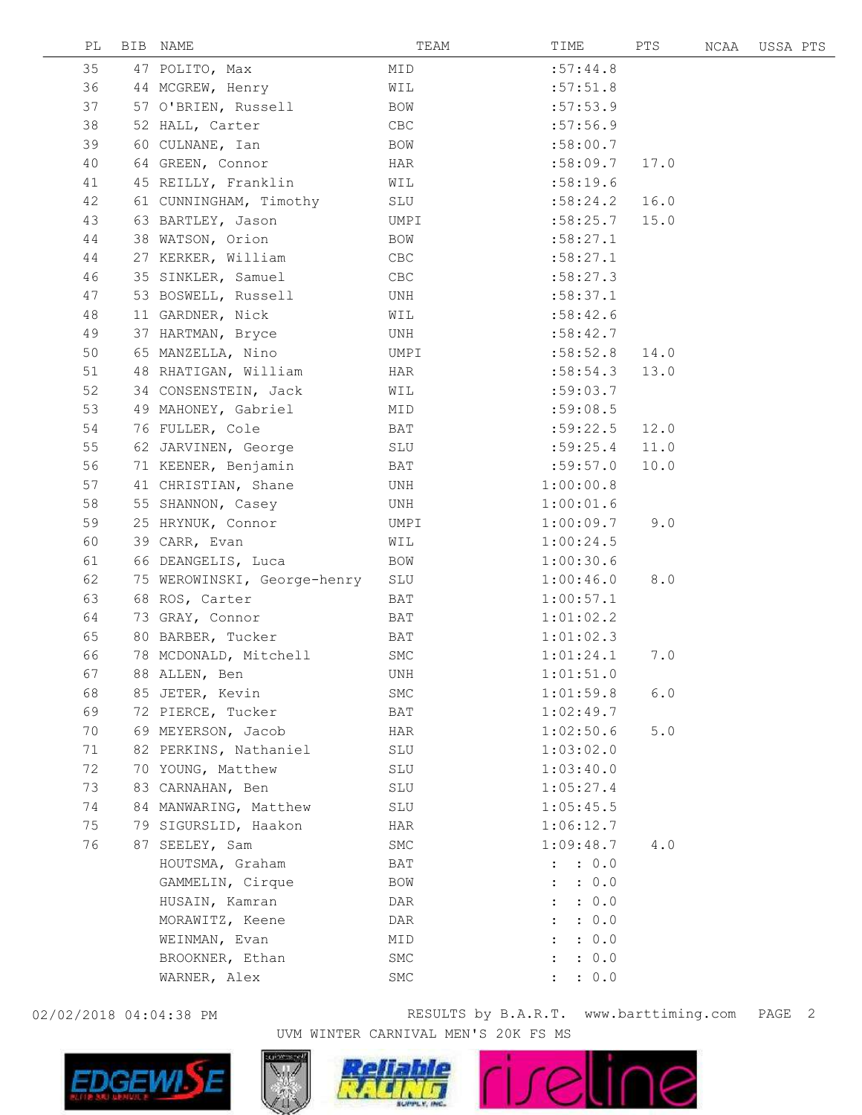| РL |    | BIB NAME                    | TEAM        | TIME                          | PTS  | NCAA | USSA PTS |  |
|----|----|-----------------------------|-------------|-------------------------------|------|------|----------|--|
| 35 |    | 47 POLITO, Max              | MID         | :57:44.8                      |      |      |          |  |
| 36 |    | 44 MCGREW, Henry            | WIL         | :57:51.8                      |      |      |          |  |
| 37 |    | 57 O'BRIEN, Russell         | <b>BOW</b>  | :57:53.9                      |      |      |          |  |
| 38 |    | 52 HALL, Carter             | ${\tt CBC}$ | :57:56.9                      |      |      |          |  |
| 39 | 60 | CULNANE, Ian                | BOW         | :58:00.7                      |      |      |          |  |
| 40 |    | 64 GREEN, Connor            | HAR         | :58:09.7                      | 17.0 |      |          |  |
| 41 |    | 45 REILLY, Franklin         | WIL         | :58:19.6                      |      |      |          |  |
| 42 |    | 61 CUNNINGHAM, Timothy      | SLU         | :58:24.2                      | 16.0 |      |          |  |
| 43 |    | 63 BARTLEY, Jason           | UMPI        | :58:25.7                      | 15.0 |      |          |  |
| 44 |    | 38 WATSON, Orion            | BOW         | :58:27.1                      |      |      |          |  |
| 44 |    | 27 KERKER, William          | CBC         | :58:27.1                      |      |      |          |  |
| 46 |    | 35 SINKLER, Samuel          | CBC         | :58:27.3                      |      |      |          |  |
| 47 |    | 53 BOSWELL, Russell         | UNH         | :58:37.1                      |      |      |          |  |
| 48 |    | 11 GARDNER, Nick            | WIL         | :58:42.6                      |      |      |          |  |
| 49 |    | 37 HARTMAN, Bryce           | UNH         | :58:42.7                      |      |      |          |  |
| 50 |    | 65 MANZELLA, Nino           | UMPI        | :58:52.8                      | 14.0 |      |          |  |
| 51 |    | 48 RHATIGAN, William        | HAR         | :58:54.3                      | 13.0 |      |          |  |
| 52 |    | 34 CONSENSTEIN, Jack        | WIL         | :59:03.7                      |      |      |          |  |
| 53 |    | 49 MAHONEY, Gabriel         | MID         | :59:08.5                      |      |      |          |  |
| 54 |    | 76 FULLER, Cole             | BAT         | :59:22.5                      | 12.0 |      |          |  |
| 55 |    | 62 JARVINEN, George         | SLU         | :59:25.4                      | 11.0 |      |          |  |
| 56 |    | 71 KEENER, Benjamin         | BAT         | :59:57.0                      | 10.0 |      |          |  |
| 57 |    | 41 CHRISTIAN, Shane         | UNH         | 1:00:00.8                     |      |      |          |  |
| 58 |    | 55 SHANNON, Casey           | UNH         | 1:00:01.6                     |      |      |          |  |
| 59 |    | 25 HRYNUK, Connor           | UMPI        | 1:00:09.7                     | 9.0  |      |          |  |
| 60 |    | 39 CARR, Evan               | WIL         | 1:00:24.5                     |      |      |          |  |
| 61 |    | 66 DEANGELIS, Luca          | BOW         | 1:00:30.6                     |      |      |          |  |
| 62 |    | 75 WEROWINSKI, George-henry | SLU         | 1:00:46.0                     | 8.0  |      |          |  |
| 63 |    | 68 ROS, Carter              | BAT         | 1:00:57.1                     |      |      |          |  |
| 64 |    | 73 GRAY, Connor             | BAT         | 1:01:02.2                     |      |      |          |  |
| 65 |    | 80 BARBER, Tucker           | BAT         | 1:01:02.3                     |      |      |          |  |
| 66 |    | 78 MCDONALD, Mitchell       | SMC         | 1:01:24.1                     | 7.0  |      |          |  |
| 67 |    | 88 ALLEN, Ben               | UNH         | 1:01:51.0                     |      |      |          |  |
| 68 |    | 85 JETER, Kevin             | SMC         | 1:01:59.8                     | 6.0  |      |          |  |
| 69 |    | 72 PIERCE, Tucker           | BAT         | 1:02:49.7                     |      |      |          |  |
| 70 |    | 69 MEYERSON, Jacob          | HAR         | 1:02:50.6                     | 5.0  |      |          |  |
| 71 |    | 82 PERKINS, Nathaniel       | SLU         | 1:03:02.0                     |      |      |          |  |
| 72 |    | 70 YOUNG, Matthew           | SLU         | 1:03:40.0                     |      |      |          |  |
| 73 |    | 83 CARNAHAN, Ben            | SLU         | 1:05:27.4                     |      |      |          |  |
| 74 |    | 84 MANWARING, Matthew       | SLU         | 1:05:45.5                     |      |      |          |  |
| 75 |    | 79 SIGURSLID, Haakon        | HAR         | 1:06:12.7                     |      |      |          |  |
| 76 | 87 | SEELEY, Sam                 | SMC         | 1:09:48.7                     | 4.0  |      |          |  |
|    |    | HOUTSMA, Graham             | BAT         | : 0.0<br>$\mathbf{L}$         |      |      |          |  |
|    |    | GAMMELIN, Cirque            | BOW         | : 0.0<br>$\ddot{\phantom{a}}$ |      |      |          |  |
|    |    | HUSAIN, Kamran              | DAR         | : 0.0<br>$\ddot{\phantom{a}}$ |      |      |          |  |
|    |    | MORAWITZ, Keene             | DAR         | : 0.0<br>$\ddot{\phantom{a}}$ |      |      |          |  |
|    |    | WEINMAN, Evan               | MID         | : 0.0<br>$\ddot{\phantom{a}}$ |      |      |          |  |
|    |    | BROOKNER, Ethan             | SMC         | : 0.0<br>$\ddot{\phantom{a}}$ |      |      |          |  |
|    |    | WARNER, Alex                | SMC         | : 0.0                         |      |      |          |  |
|    |    |                             |             |                               |      |      |          |  |



02/02/2018 04:04:38 PM RESULTS by B.A.R.T. www.barttiming.com PAGE 2 UVM WINTER CARNIVAL MEN'S 20K FS MS